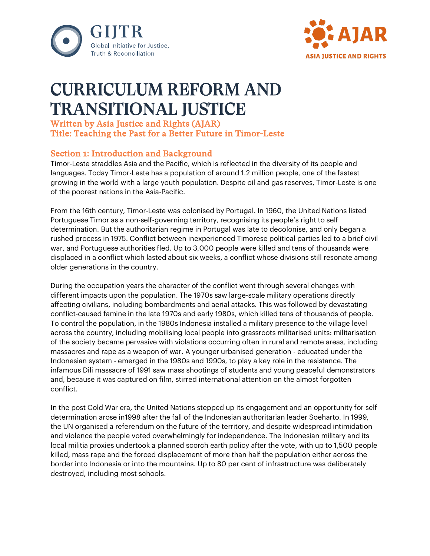



# CURRICULUM REFORM AND TRANSITIONAL JUSTICE

# Written by Asia Justice and Rights (AJAR) Title: Teaching the Past for a Better Future in Timor-Leste

# Section 1: Introduction and Background

Timor-Leste straddles Asia and the Pacific, which is reflected in the diversity of its people and languages. Today Timor-Leste has a population of around 1.2 million people, one of the fastest growing in the world with a large youth population. Despite oil and gas reserves, Timor-Leste is one of the poorest nations in the Asia-Pacific.

From the 16th century, Timor-Leste was colonised by Portugal. In 1960, the United Nations listed Portuguese Timor as a non-self-governing territory, recognising its people's right to self determination. But the authoritarian regime in Portugal was late to decolonise, and only began a rushed process in 1975. Conflict between inexperienced Timorese political parties led to a brief civil war, and Portuguese authorities fled. Up to 3,000 people were killed and tens of thousands were displaced in a conflict which lasted about six weeks, a conflict whose divisions still resonate among older generations in the country.

During the occupation years the character of the conflict went through several changes with different impacts upon the population. The 1970s saw large-scale military operations directly affecting civilians, including bombardments and aerial attacks. This was followed by devastating conflict-caused famine in the late 1970s and early 1980s, which killed tens of thousands of people. To control the population, in the 1980s Indonesia installed a military presence to the village level across the country, including mobilising local people into grassroots militarised units: militarisation of the society became pervasive with violations occurring often in rural and remote areas, including massacres and rape as a weapon of war. A younger urbanised generation - educated under the Indonesian system - emerged in the 1980s and 1990s, to play a key role in the resistance. The infamous Dili massacre of 1991 saw mass shootings of students and young peaceful demonstrators and, because it was captured on film, stirred international attention on the almost forgotten conflict.

In the post Cold War era, the United Nations stepped up its engagement and an opportunity for self determination arose in1998 after the fall of the Indonesian authoritarian leader Soeharto. In 1999, the UN organised a referendum on the future of the territory, and despite widespread intimidation and violence the people voted overwhelmingly for independence. The Indonesian military and its local militia proxies undertook a planned scorch earth policy after the vote, with up to 1,500 people killed, mass rape and the forced displacement of more than half the population either across the border into Indonesia or into the mountains. Up to 80 per cent of infrastructure was deliberately destroyed, including most schools.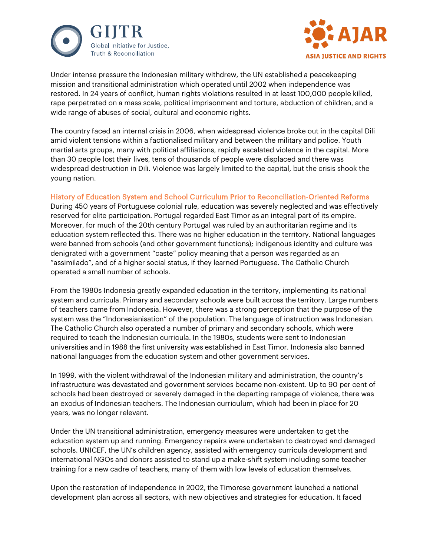



Under intense pressure the Indonesian military withdrew, the UN established a peacekeeping mission and transitional administration which operated until 2002 when independence was restored. In 24 years of conflict, human rights violations resulted in at least 100,000 people killed, rape perpetrated on a mass scale, political imprisonment and torture, abduction of children, and a wide range of abuses of social, cultural and economic rights.

The country faced an internal crisis in 2006, when widespread violence broke out in the capital Dili amid violent tensions within a factionalised military and between the military and police. Youth martial arts groups, many with political affiliations, rapidly escalated violence in the capital. More than 30 people lost their lives, tens of thousands of people were displaced and there was widespread destruction in Dili. Violence was largely limited to the capital, but the crisis shook the young nation.

## History of Education System and School Curriculum Prior to Reconciliation-Oriented Reforms

During 450 years of Portuguese colonial rule, education was severely neglected and was effectively reserved for elite participation. Portugal regarded East Timor as an integral part of its empire. Moreover, for much of the 20th century Portugal was ruled by an authoritarian regime and its education system reflected this. There was no higher education in the territory. National languages were banned from schools (and other government functions); indigenous identity and culture was denigrated with a government "caste" policy meaning that a person was regarded as an "assimilado", and of a higher social status, if they learned Portuguese. The Catholic Church operated a small number of schools.

From the 1980s Indonesia greatly expanded education in the territory, implementing its national system and curricula. Primary and secondary schools were built across the territory. Large numbers of teachers came from Indonesia. However, there was a strong perception that the purpose of the system was the "Indonesianisation" of the population. The language of instruction was Indonesian. The Catholic Church also operated a number of primary and secondary schools, which were required to teach the Indonesian curricula. In the 1980s, students were sent to Indonesian universities and in 1988 the first university was established in East Timor. Indonesia also banned national languages from the education system and other government services.

In 1999, with the violent withdrawal of the Indonesian military and administration, the country's infrastructure was devastated and government services became non-existent. Up to 90 per cent of schools had been destroyed or severely damaged in the departing rampage of violence, there was an exodus of Indonesian teachers. The Indonesian curriculum, which had been in place for 20 years, was no longer relevant.

Under the UN transitional administration, emergency measures were undertaken to get the education system up and running. Emergency repairs were undertaken to destroyed and damaged schools. UNICEF, the UN's children agency, assisted with emergency curricula development and international NGOs and donors assisted to stand up a make-shift system including some teacher training for a new cadre of teachers, many of them with low levels of education themselves.

Upon the restoration of independence in 2002, the Timorese government launched a national development plan across all sectors, with new objectives and strategies for education. It faced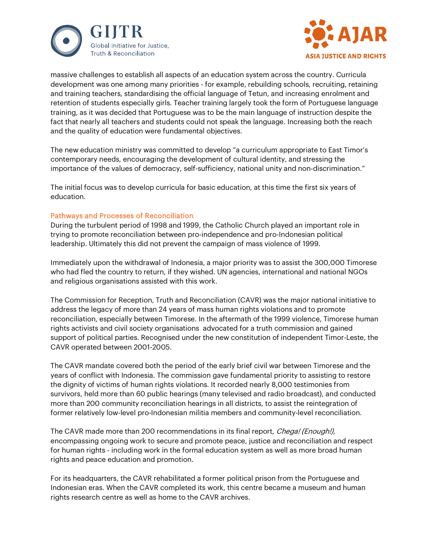



massive challenges to establish all aspects of an education system across the country. Curricula development was one among many priorities - for example, rebuilding schools, recruiting, retaining and training teachers, standardising the official language of Tetun, and increasing enrolment and retention of students especially girls. Teacher training largely took the form of Portuguese language training, as it was decided that Portuguese was to be the main language of instruction despite the fact that nearly all teachers and students could not speak the language. Increasing both the reach and the quality of education were fundamental objectives.

The new education ministry was committed to develop "a curriculum appropriate to East Timor's contemporary needs, encouraging the development of cultural identity, and stressing the importance of the values of democracy, self-sufficiency, national unity and non-discrimination."

The initial focus was to develop curricula for basic education, at this time the first six years of education.

## Pathways and Processes of Reconciliation

During the turbulent period of 1998 and 1999, the Catholic Church played an important role in trying to promote reconciliation between pro-independence and pro-Indonesian political leadership. Ultimately this did not prevent the campaign of mass violence of 1999.

Immediately upon the withdrawal of Indonesia, a major priority was to assist the 300,000 Timorese who had fled the country to return, if they wished. UN agencies, international and national NGOs and religious organisations assisted with this work.

The Commission for Reception, Truth and Reconciliation (CAVR) was the major national initiative to address the legacy of more than 24 years of mass human rights violations and to promote reconciliation, especially between Timorese. In the aftermath of the 1999 violence, Timorese human rights activists and civil society organisations advocated for a truth commission and gained support of political parties. Recognised under the new constitution of independent Timor-Leste, the CAVR operated between 2001-2005.

The CAVR mandate covered both the period of the early brief civil war between Timorese and the years of conflict with Indonesia. The commission gave fundamental priority to assisting to restore the dignity of victims of human rights violations. It recorded nearly 8,000 testimonies from survivors, held more than 60 public hearings (many televised and radio broadcast), and conducted more than 200 community reconciliation hearings in all districts, to assist the reintegration of former relatively low-level pro-Indonesian militia members and community-level reconciliation.

The CAVR made more than 200 recommendations in its final report, *Chega! (Enough!)*, encompassing ongoing work to secure and promote peace, justice and reconciliation and respect for human rights - including work in the formal education system as well as more broad human rights and peace education and promotion.

For its headquarters, the CAVR rehabilitated a former political prison from the Portuguese and Indonesian eras. When the CAVR completed its work, this centre became a museum and human rights research centre as well as home to the CAVR archives.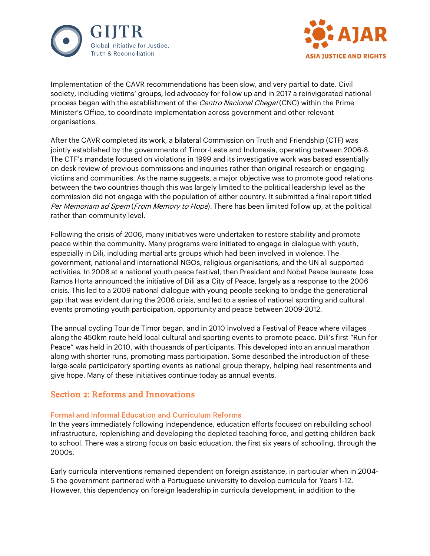



Implementation of the CAVR recommendations has been slow, and very partial to date. Civil society, including victims' groups, led advocacy for follow up and in 2017 a reinvigorated national process began with the establishment of the *Centro Nacional Chega!* (CNC) within the Prime Minister's Office, to coordinate implementation across government and other relevant organisations.

After the CAVR completed its work, a bilateral Commission on Truth and Friendship (CTF) was jointly established by the governments of Timor-Leste and Indonesia, operating between 2006-8. The CTF's mandate focused on violations in 1999 and its investigative work was based essentially on desk review of previous commissions and inquiries rather than original research or engaging victims and communities. As the name suggests, a major objective was to promote good relations between the two countries though this was largely limited to the political leadership level as the commission did not engage with the population of either country. It submitted a final report titled Per Memoriam ad Spem (From Memory to Hope). There has been limited follow up, at the political rather than community level.

Following the crisis of 2006, many initiatives were undertaken to restore stability and promote peace within the community. Many programs were initiated to engage in dialogue with youth, especially in Dili, including martial arts groups which had been involved in violence. The government, national and international NGOs, religious organisations, and the UN all supported activities. In 2008 at a national youth peace festival, then President and Nobel Peace laureate Jose Ramos Horta announced the initiative of Dili as a City of Peace, largely as a response to the 2006 crisis. This led to a 2009 national dialogue with young people seeking to bridge the generational gap that was evident during the 2006 crisis, and led to a series of national sporting and cultural events promoting youth participation, opportunity and peace between 2009-2012.

The annual cycling Tour de Timor began, and in 2010 involved a Festival of Peace where villages along the 450km route held local cultural and sporting events to promote peace. Dili's first "Run for Peace" was held in 2010, with thousands of participants. This developed into an annual marathon along with shorter runs, promoting mass participation. Some described the introduction of these large-scale participatory sporting events as national group therapy, helping heal resentments and give hope. Many of these initiatives continue today as annual events.

# Section 2: Reforms and Innovations

## Formal and Informal Education and Curriculum Reforms

In the years immediately following independence, education efforts focused on rebuilding school infrastructure, replenishing and developing the depleted teaching force, and getting children back to school. There was a strong focus on basic education, the first six years of schooling, through the 2000s.

Early curricula interventions remained dependent on foreign assistance, in particular when in 2004- 5 the government partnered with a Portuguese university to develop curricula for Years 1-12. However, this dependency on foreign leadership in curricula development, in addition to the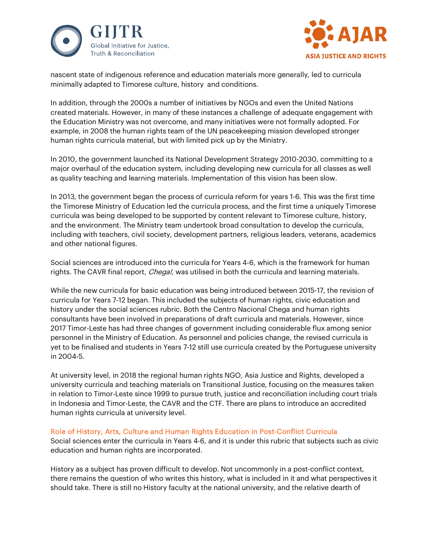



nascent state of indigenous reference and education materials more generally, led to curricula minimally adapted to Timorese culture, history and conditions.

In addition, through the 2000s a number of initiatives by NGOs and even the United Nations created materials. However, in many of these instances a challenge of adequate engagement with the Education Ministry was not overcome, and many initiatives were not formally adopted. For example, in 2008 the human rights team of the UN peacekeeping mission developed stronger human rights curricula material, but with limited pick up by the Ministry.

In 2010, the government launched its National Development Strategy 2010-2030, committing to a major overhaul of the education system, including developing new curricula for all classes as well as quality teaching and learning materials. Implementation of this vision has been slow.

In 2013, the government began the process of curricula reform for years 1-6. This was the first time the Timorese Ministry of Education led the curricula process, and the first time a uniquely Timorese curricula was being developed to be supported by content relevant to Timorese culture, history, and the environment. The Ministry team undertook broad consultation to develop the curricula, including with teachers, civil society, development partners, religious leaders, veterans, academics and other national figures.

Social sciences are introduced into the curricula for Years 4-6, which is the framework for human rights. The CAVR final report, *Chega!*, was utilised in both the curricula and learning materials.

While the new curricula for basic education was being introduced between 2015-17, the revision of curricula for Years 7-12 began. This included the subjects of human rights, civic education and history under the social sciences rubric. Both the Centro Nacional Chega and human rights consultants have been involved in preparations of draft curricula and materials. However, since 2017 Timor-Leste has had three changes of government including considerable flux among senior personnel in the Ministry of Education. As personnel and policies change, the revised curricula is yet to be finalised and students in Years 7-12 still use curricula created by the Portuguese university in 2004-5.

At university level, in 2018 the regional human rights NGO, Asia Justice and Rights, developed a university curricula and teaching materials on Transitional Justice, focusing on the measures taken in relation to Timor-Leste since 1999 to pursue truth, justice and reconciliation including court trials in Indonesia and Timor-Leste, the CAVR and the CTF. There are plans to introduce an accredited human rights curricula at university level.

## Role of History, Arts, Culture and Human Rights Education in Post-Conflict Curricula

Social sciences enter the curricula in Years 4-6, and it is under this rubric that subjects such as civic education and human rights are incorporated.

History as a subject has proven difficult to develop. Not uncommonly in a post-conflict context, there remains the question of who writes this history, what is included in it and what perspectives it should take. There is still no History faculty at the national university, and the relative dearth of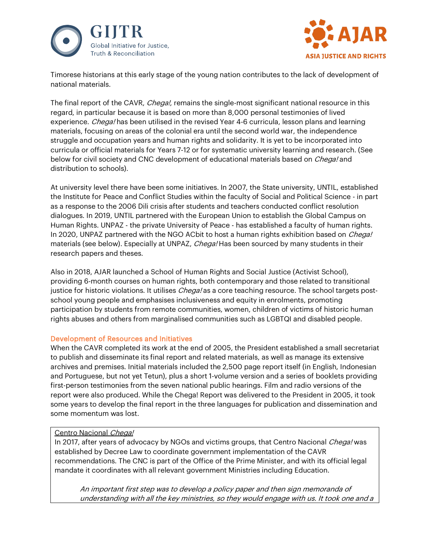



Timorese historians at this early stage of the young nation contributes to the lack of development of national materials.

The final report of the CAVR, Chega!, remains the single-most significant national resource in this regard, in particular because it is based on more than 8,000 personal testimonies of lived experience. *Chega!* has been utilised in the revised Year 4-6 curricula, lesson plans and learning materials, focusing on areas of the colonial era until the second world war, the independence struggle and occupation years and human rights and solidarity. It is yet to be incorporated into curricula or official materials for Years 7-12 or for systematic university learning and research. (See below for civil society and CNC development of educational materials based on *Chega!* and distribution to schools).

At university level there have been some initiatives. In 2007, the State university, UNTIL, established the Institute for Peace and Conflict Studies within the faculty of Social and Political Science - in part as a response to the 2006 Dili crisis after students and teachers conducted conflict resolution dialogues. In 2019, UNTIL partnered with the European Union to establish the Global Campus on Human Rights. UNPAZ - the private University of Peace - has established a faculty of human rights. In 2020, UNPAZ partnered with the NGO ACbit to host a human rights exhibition based on *Chega!* materials (see below). Especially at UNPAZ, Chega! Has been sourced by many students in their research papers and theses.

Also in 2018, AJAR launched a School of Human Rights and Social Justice (Activist School), providing 6-month courses on human rights, both contemporary and those related to transitional justice for historic violations. It utilises *Chega!* as a core teaching resource. The school targets postschool young people and emphasises inclusiveness and equity in enrolments, promoting participation by students from remote communities, women, children of victims of historic human rights abuses and others from marginalised communities such as LGBTQI and disabled people.

## Development of Resources and Initiatives

When the CAVR completed its work at the end of 2005, the President established a small secretariat to publish and disseminate its final report and related materials, as well as manage its extensive archives and premises. Initial materials included the 2,500 page report itself (in English, Indonesian and Portuguese, but not yet Tetun), plus a short 1-volume version and a series of booklets providing first-person testimonies from the seven national public hearings. Film and radio versions of the report were also produced. While the Chega! Report was delivered to the President in 2005, it took some years to develop the final report in the three languages for publication and dissemination and some momentum was lost.

## Centro Nacional Chega!

In 2017, after years of advocacy by NGOs and victims groups, that Centro Nacional Chega! was established by Decree Law to coordinate government implementation of the CAVR recommendations. The CNC is part of the Office of the Prime Minister, and with its official legal mandate it coordinates with all relevant government Ministries including Education.

An important first step was to develop a policy paper and then sign memoranda of understanding with all the key ministries, so they would engage with us. It took one and a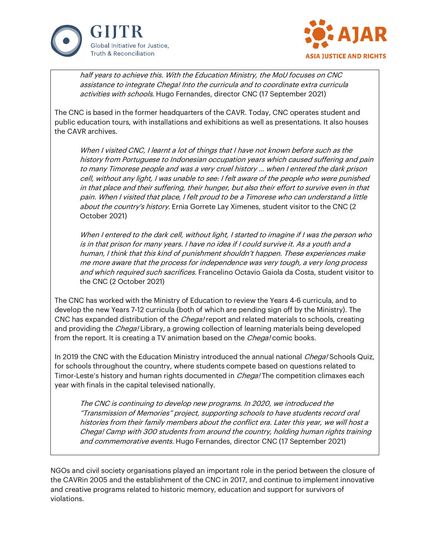



half years to achieve this. With the Education Ministry, the MoU focuses on CNC assistance to integrate Chega! Into the curricula and to coordinate extra curricula activities with schools. Hugo Fernandes, director CNC (17 September 2021)

The CNC is based in the former headquarters of the CAVR. Today, CNC operates student and public education tours, with installations and exhibitions as well as presentations. It also houses the CAVR archives.

When I visited CNC, I learnt a lot of things that I have not known before such as the history from Portuguese to Indonesian occupation years which caused suffering and pain to many Timorese people and was a very cruel history … when I entered the dark prison cell, without any light, I was unable to see: I felt aware of the people who were punished in that place and their suffering, their hunger, but also their effort to survive even in that pain. When I visited that place, I felt proud to be a Timorese who can understand a little about the country's history. Ernia Gorrete Lay Ximenes, student visitor to the CNC (2 October 2021)

When I entered to the dark cell, without light, I started to imagine if I was the person who is in that prison for many years. I have no idea if I could survive it. As a youth and a human, I think that this kind of punishment shouldn't happen. These experiences make me more aware that the process for independence was very tough, a very long process and which required such sacrifices. Francelino Octavio Gaiola da Costa, student visitor to the CNC (2 October 2021)

The CNC has worked with the Ministry of Education to review the Years 4-6 curricula, and to develop the new Years 7-12 curricula (both of which are pending sign off by the Ministry). The CNC has expanded distribution of the *Chega!* report and related materials to schools, creating and providing the *Chega!* Library, a growing collection of learning materials being developed from the report. It is creating a TV animation based on the *Chega!* comic books.

In 2019 the CNC with the Education Ministry introduced the annual national *Chega!* Schools Quiz, for schools throughout the country, where students compete based on questions related to Timor-Leste's history and human rights documented in *Chega!* The competition climaxes each year with finals in the capital televised nationally.

The CNC is continuing to develop new programs. In 2020, we introduced the "Transmission of Memories" project, supporting schools to have students record oral histories from their family members about the conflict era. Later this year, we will host a Chega! Camp with 300 students from around the country, holding human rights training and commemorative events. Hugo Fernandes, director CNC (17 September 2021)

NGOs and civil society organisations played an important role in the period between the closure of the CAVRin 2005 and the establishment of the CNC in 2017, and continue to implement innovative and creative programs related to historic memory, education and support for survivors of violations.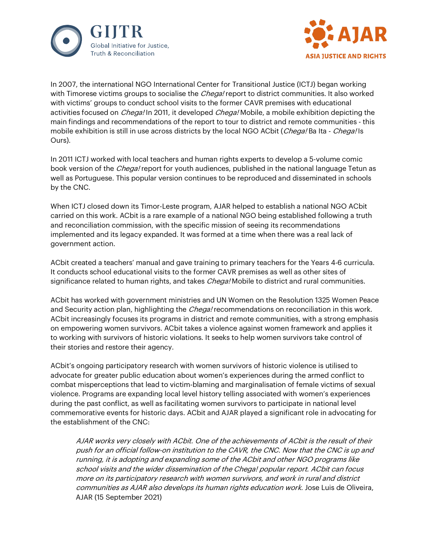



In 2007, the international NGO International Center for Transitional Justice (ICTJ) began working with Timorese victims groups to socialise the *Chega!* report to district communities. It also worked with victims' groups to conduct school visits to the former CAVR premises with educational activities focused on *Chega!* In 2011, it developed *Chega!* Mobile, a mobile exhibition depicting the main findings and recommendations of the report to tour to district and remote communities - this mobile exhibition is still in use across districts by the local NGO ACbit (Chega! Ba Ita - Chega! Is Ours).

In 2011 ICTJ worked with local teachers and human rights experts to develop a 5-volume comic book version of the *Chega!* report for youth audiences, published in the national language Tetun as well as Portuguese. This popular version continues to be reproduced and disseminated in schools by the CNC.

When ICTJ closed down its Timor-Leste program, AJAR helped to establish a national NGO ACbit carried on this work. ACbit is a rare example of a national NGO being established following a truth and reconciliation commission, with the specific mission of seeing its recommendations implemented and its legacy expanded. It was formed at a time when there was a real lack of government action.

ACbit created a teachers' manual and gave training to primary teachers for the Years 4-6 curricula. It conducts school educational visits to the former CAVR premises as well as other sites of significance related to human rights, and takes *Chega!* Mobile to district and rural communities.

ACbit has worked with government ministries and UN Women on the Resolution 1325 Women Peace and Security action plan, highlighting the *Chega!* recommendations on reconciliation in this work. ACbit increasingly focuses its programs in district and remote communities, with a strong emphasis on empowering women survivors. ACbit takes a violence against women framework and applies it to working with survivors of historic violations. It seeks to help women survivors take control of their stories and restore their agency.

ACbit's ongoing participatory research with women survivors of historic violence is utilised to advocate for greater public education about women's experiences during the armed conflict to combat misperceptions that lead to victim-blaming and marginalisation of female victims of sexual violence. Programs are expanding local level history telling associated with women's experiences during the past conflict, as well as facilitating women survivors to participate in national level commemorative events for historic days. ACbit and AJAR played a significant role in advocating for the establishment of the CNC:

AJAR works very closely with ACbit. One of the achievements of ACbit is the result of their push for an official follow-on institution to the CAVR, the CNC. Now that the CNC is up and running, it is adopting and expanding some of the ACbit and other NGO programs like school visits and the wider dissemination of the Chega! popular report. ACbit can focus more on its participatory research with women survivors, and work in rural and district communities as AJAR also develops its human rights education work. Jose Luis de Oliveira, AJAR (15 September 2021)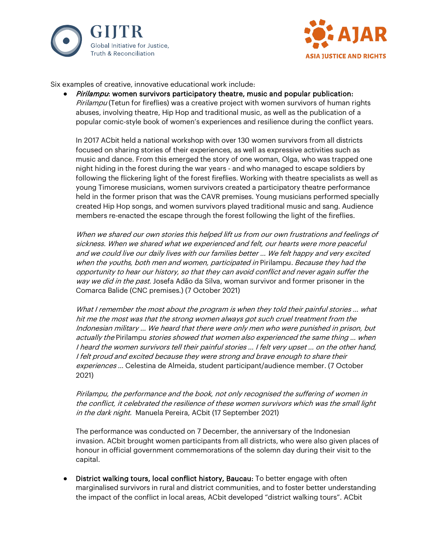



Six examples of creative, innovative educational work include:

• *Pirilampu:* women survivors participatory theatre, music and popular publication: Pirilampu (Tetun for fireflies) was a creative project with women survivors of human rights abuses, involving theatre, Hip Hop and traditional music, as well as the publication of a popular comic-style book of women's experiences and resilience during the conflict years.

In 2017 ACbit held a national workshop with over 130 women survivors from all districts focused on sharing stories of their experiences, as well as expressive activities such as music and dance. From this emerged the story of one woman, Olga, who was trapped one night hiding in the forest during the war years - and who managed to escape soldiers by following the flickering light of the forest fireflies. Working with theatre specialists as well as young Timorese musicians, women survivors created a participatory theatre performance held in the former prison that was the CAVR premises. Young musicians performed specially created Hip Hop songs, and women survivors played traditional music and sang. Audience members re-enacted the escape through the forest following the light of the fireflies.

When we shared our own stories this helped lift us from our own frustrations and feelings of sickness. When we shared what we experienced and felt, our hearts were more peaceful and we could live our daily lives with our families better … We felt happy and very excited when the youths, both men and women, participated in Pirilampu. Because they had the opportunity to hear our history, so that they can avoid conflict and never again suffer the way we did in the past. Josefa Adão da Silva, woman survivor and former prisoner in the Comarca Balide (CNC premises.) (7 October 2021)

What I remember the most about the program is when they told their painful stories … what hit me the most was that the strong women always got such cruel treatment from the Indonesian military … We heard that there were only men who were punished in prison, but actually the Pirilampu stories showed that women also experienced the same thing … when I heard the women survivors tell their painful stories … I felt very upset … on the other hand, I felt proud and excited because they were strong and brave enough to share their experiences … Celestina de Almeida, student participant/audience member. (7 October 2021)

Pirilampu, the performance and the book, not only recognised the suffering of women in the conflict, it celebrated the resilience of these women survivors which was the small light in the dark night. Manuela Pereira, ACbit (17 September 2021)

The performance was conducted on 7 December, the anniversary of the Indonesian invasion. ACbit brought women participants from all districts, who were also given places of honour in official government commemorations of the solemn day during their visit to the capital.

**District walking tours, local conflict history, Baucau:** To better engage with often marginalised survivors in rural and district communities, and to foster better understanding the impact of the conflict in local areas, ACbit developed "district walking tours". ACbit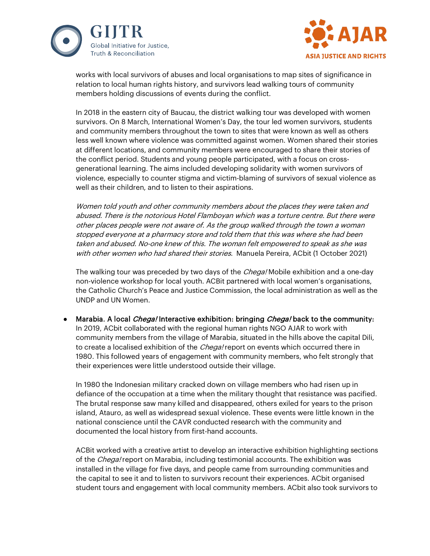



works with local survivors of abuses and local organisations to map sites of significance in relation to local human rights history, and survivors lead walking tours of community members holding discussions of events during the conflict.

In 2018 in the eastern city of Baucau, the district walking tour was developed with women survivors. On 8 March, International Women's Day, the tour led women survivors, students and community members throughout the town to sites that were known as well as others less well known where violence was committed against women. Women shared their stories at different locations, and community members were encouraged to share their stories of the conflict period. Students and young people participated, with a focus on crossgenerational learning. The aims included developing solidarity with women survivors of violence, especially to counter stigma and victim-blaming of survivors of sexual violence as well as their children, and to listen to their aspirations.

Women told youth and other community members about the places they were taken and abused. There is the notorious Hotel Flamboyan which was a torture centre. But there were other places people were not aware of. As the group walked through the town a woman stopped everyone at a pharmacy store and told them that this was where she had been taken and abused. No-one knew of this. The woman felt empowered to speak as she was with other women who had shared their stories. Manuela Pereira, ACbit (1 October 2021)

The walking tour was preceded by two days of the *Chega!* Mobile exhibition and a one-day non-violence workshop for local youth. ACBit partnered with local women's organisations, the Catholic Church's Peace and Justice Commission, the local administration as well as the UNDP and UN Women.

Marabia. A local *Chega!* Interactive exhibition: bringing *Chega!* back to the community: In 2019, ACbit collaborated with the regional human rights NGO AJAR to work with community members from the village of Marabia, situated in the hills above the capital Dili, to create a localised exhibition of the *Chega!* report on events which occurred there in 1980. This followed years of engagement with community members, who felt strongly that their experiences were little understood outside their village.

In 1980 the Indonesian military cracked down on village members who had risen up in defiance of the occupation at a time when the military thought that resistance was pacified. The brutal response saw many killed and disappeared, others exiled for years to the prison island, Atauro, as well as widespread sexual violence. These events were little known in the national conscience until the CAVR conducted research with the community and documented the local history from first-hand accounts.

ACBit worked with a creative artist to develop an interactive exhibition highlighting sections of the Chega! report on Marabia, including testimonial accounts. The exhibition was installed in the village for five days, and people came from surrounding communities and the capital to see it and to listen to survivors recount their experiences. ACbit organised student tours and engagement with local community members. ACbit also took survivors to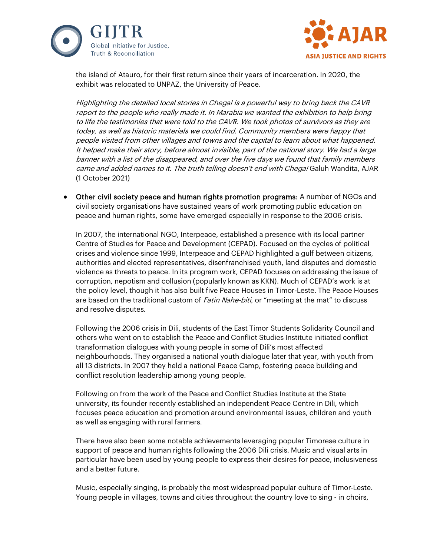



the island of Atauro, for their first return since their years of incarceration. In 2020, the exhibit was relocated to UNPAZ, the University of Peace.

Highlighting the detailed local stories in Chega! is a powerful way to bring back the CAVR report to the people who really made it. In Marabia we wanted the exhibition to help bring to life the testimonies that were told to the CAVR. We took photos of survivors as they are today, as well as historic materials we could find. Community members were happy that people visited from other villages and towns and the capital to learn about what happened. It helped make their story, before almost invisible, part of the national story. We had a large banner with a list of the disappeared, and over the five days we found that family members came and added names to it. The truth telling doesn't end with Chega! Galuh Wandita, AJAR (1 October 2021)

● Other civil society peace and human rights promotion programs: A number of NGOs and civil society organisations have sustained years of work promoting public education on peace and human rights, some have emerged especially in response to the 2006 crisis.

In 2007, the international NGO, Interpeace, established a presence with its local partner Centre of Studies for Peace and Development (CEPAD). Focused on the cycles of political crises and violence since 1999, Interpeace and CEPAD highlighted a gulf between citizens, authorities and elected representatives, disenfranchised youth, land disputes and domestic violence as threats to peace. In its program work, CEPAD focuses on addressing the issue of corruption, nepotism and collusion (popularly known as KKN). Much of CEPAD's work is at the policy level, though it has also built five Peace Houses in Timor-Leste. The Peace Houses are based on the traditional custom of *Fatin Nahe-biti*, or "meeting at the mat" to discuss and resolve disputes.

Following the 2006 crisis in Dili, students of the East Timor Students Solidarity Council and others who went on to establish the Peace and Conflict Studies Institute initiated conflict transformation dialogues with young people in some of Dili's most affected neighbourhoods. They organised a national youth dialogue later that year, with youth from all 13 districts. In 2007 they held a national Peace Camp, fostering peace building and conflict resolution leadership among young people.

Following on from the work of the Peace and Conflict Studies Institute at the State university, its founder recently established an independent Peace Centre in Dili, which focuses peace education and promotion around environmental issues, children and youth as well as engaging with rural farmers.

There have also been some notable achievements leveraging popular Timorese culture in support of peace and human rights following the 2006 Dili crisis. Music and visual arts in particular have been used by young people to express their desires for peace, inclusiveness and a better future.

Music, especially singing, is probably the most widespread popular culture of Timor-Leste. Young people in villages, towns and cities throughout the country love to sing - in choirs,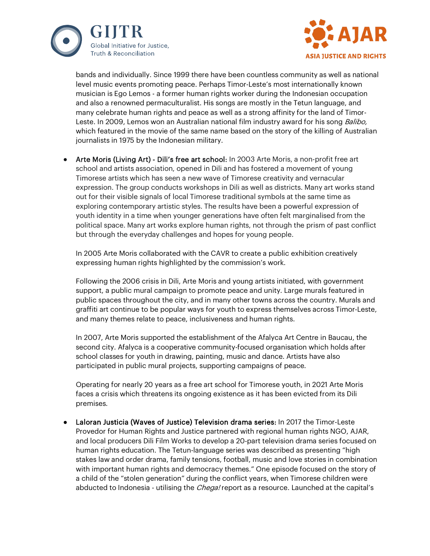



bands and individually. Since 1999 there have been countless community as well as national level music events promoting peace. Perhaps Timor-Leste's most internationally known musician is Ego Lemos - a former human rights worker during the Indonesian occupation and also a renowned permaculturalist. His songs are mostly in the Tetun language, and many celebrate human rights and peace as well as a strong affinity for the land of Timor-Leste. In 2009, Lemos won an Australian national film industry award for his song *Balibo*, which featured in the movie of the same name based on the story of the killing of Australian journalists in 1975 by the Indonesian military.

Arte Moris (Living Art) - Dili's free art school: In 2003 Arte Moris, a non-profit free art school and artists association, opened in Dili and has fostered a movement of young Timorese artists which has seen a new wave of Timorese creativity and vernacular expression. The group conducts workshops in Dili as well as districts. Many art works stand out for their visible signals of local Timorese traditional symbols at the same time as exploring contemporary artistic styles. The results have been a powerful expression of youth identity in a time when younger generations have often felt marginalised from the political space. Many art works explore human rights, not through the prism of past conflict but through the everyday challenges and hopes for young people.

In 2005 Arte Moris collaborated with the CAVR to create a public exhibition creatively expressing human rights highlighted by the commission's work.

Following the 2006 crisis in Dili, Arte Moris and young artists initiated, with government support, a public mural campaign to promote peace and unity. Large murals featured in public spaces throughout the city, and in many other towns across the country. Murals and graffiti art continue to be popular ways for youth to express themselves across Timor-Leste, and many themes relate to peace, inclusiveness and human rights.

In 2007, Arte Moris supported the establishment of the Afalyca Art Centre in Baucau, the second city. Afalyca is a cooperative community-focused organisation which holds after school classes for youth in drawing, painting, music and dance. Artists have also participated in public mural projects, supporting campaigns of peace.

Operating for nearly 20 years as a free art school for Timorese youth, in 2021 Arte Moris faces a crisis which threatens its ongoing existence as it has been evicted from its Dili premises.

Laloran Justicia (Waves of Justice) Television drama series: In 2017 the Timor-Leste Provedor for Human Rights and Justice partnered with regional human rights NGO, AJAR, and local producers Dili Film Works to develop a 20-part television drama series focused on human rights education. The Tetun-language series was described as presenting "high stakes law and order drama, family tensions, football, music and love stories in combination with important human rights and democracy themes." One episode focused on the story of a child of the "stolen generation" during the conflict years, when Timorese children were abducted to Indonesia - utilising the *Chega!* report as a resource. Launched at the capital's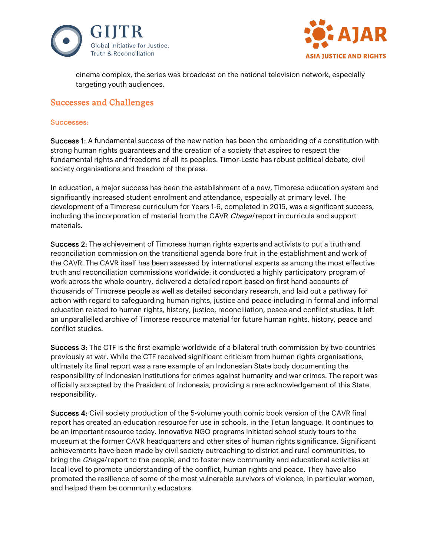



cinema complex, the series was broadcast on the national television network, especially targeting youth audiences.

# Successes and Challenges

#### Successes:

Success 1: A fundamental success of the new nation has been the embedding of a constitution with strong human rights guarantees and the creation of a society that aspires to respect the fundamental rights and freedoms of all its peoples. Timor-Leste has robust political debate, civil society organisations and freedom of the press.

In education, a major success has been the establishment of a new, Timorese education system and significantly increased student enrolment and attendance, especially at primary level. The development of a Timorese curriculum for Years 1-6, completed in 2015, was a significant success, including the incorporation of material from the CAVR Chega! report in curricula and support materials.

Success 2: The achievement of Timorese human rights experts and activists to put a truth and reconciliation commission on the transitional agenda bore fruit in the establishment and work of the CAVR. The CAVR itself has been assessed by international experts as among the most effective truth and reconciliation commissions worldwide: it conducted a highly participatory program of work across the whole country, delivered a detailed report based on first hand accounts of thousands of Timorese people as well as detailed secondary research, and laid out a pathway for action with regard to safeguarding human rights, justice and peace including in formal and informal education related to human rights, history, justice, reconciliation, peace and conflict studies. It left an unparallelled archive of Timorese resource material for future human rights, history, peace and conflict studies.

Success 3: The CTF is the first example worldwide of a bilateral truth commission by two countries previously at war. While the CTF received significant criticism from human rights organisations, ultimately its final report was a rare example of an Indonesian State body documenting the responsibility of Indonesian institutions for crimes against humanity and war crimes. The report was officially accepted by the President of Indonesia, providing a rare acknowledgement of this State responsibility.

Success 4: Civil society production of the 5-volume youth comic book version of the CAVR final report has created an education resource for use in schools, in the Tetun language. It continues to be an important resource today. Innovative NGO programs initiated school study tours to the museum at the former CAVR headquarters and other sites of human rights significance. Significant achievements have been made by civil society outreaching to district and rural communities, to bring the *Chega!* report to the people, and to foster new community and educational activities at local level to promote understanding of the conflict, human rights and peace. They have also promoted the resilience of some of the most vulnerable survivors of violence, in particular women, and helped them be community educators.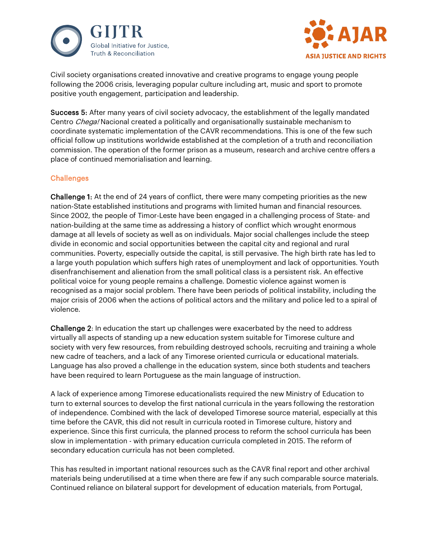



Civil society organisations created innovative and creative programs to engage young people following the 2006 crisis, leveraging popular culture including art, music and sport to promote positive youth engagement, participation and leadership.

Success 5: After many years of civil society advocacy, the establishment of the legally mandated Centro *Chega!* Nacional created a politically and organisationally sustainable mechanism to coordinate systematic implementation of the CAVR recommendations. This is one of the few such official follow up institutions worldwide established at the completion of a truth and reconciliation commission. The operation of the former prison as a museum, research and archive centre offers a place of continued memorialisation and learning.

## **Challenges**

Challenge 1: At the end of 24 years of conflict, there were many competing priorities as the new nation-State established institutions and programs with limited human and financial resources. Since 2002, the people of Timor-Leste have been engaged in a challenging process of State- and nation-building at the same time as addressing a history of conflict which wrought enormous damage at all levels of society as well as on individuals. Major social challenges include the steep divide in economic and social opportunities between the capital city and regional and rural communities. Poverty, especially outside the capital, is still pervasive. The high birth rate has led to a large youth population which suffers high rates of unemployment and lack of opportunities. Youth disenfranchisement and alienation from the small political class is a persistent risk. An effective political voice for young people remains a challenge. Domestic violence against women is recognised as a major social problem. There have been periods of political instability, including the major crisis of 2006 when the actions of political actors and the military and police led to a spiral of violence.

Challenge 2: In education the start up challenges were exacerbated by the need to address virtually all aspects of standing up a new education system suitable for Timorese culture and society with very few resources, from rebuilding destroyed schools, recruiting and training a whole new cadre of teachers, and a lack of any Timorese oriented curricula or educational materials. Language has also proved a challenge in the education system, since both students and teachers have been required to learn Portuguese as the main language of instruction.

A lack of experience among Timorese educationalists required the new Ministry of Education to turn to external sources to develop the first national curricula in the years following the restoration of independence. Combined with the lack of developed Timorese source material, especially at this time before the CAVR, this did not result in curricula rooted in Timorese culture, history and experience. Since this first curricula, the planned process to reform the school curricula has been slow in implementation - with primary education curricula completed in 2015. The reform of secondary education curricula has not been completed.

This has resulted in important national resources such as the CAVR final report and other archival materials being underutilised at a time when there are few if any such comparable source materials. Continued reliance on bilateral support for development of education materials, from Portugal,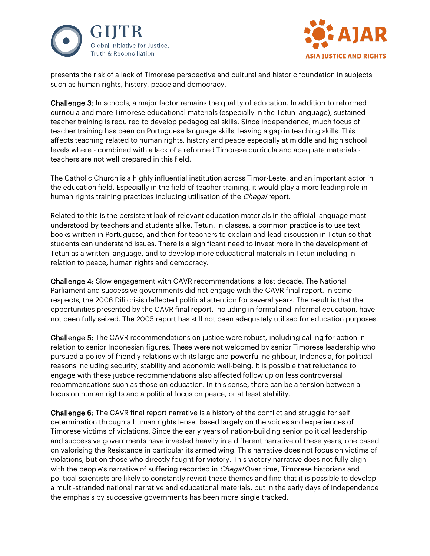



presents the risk of a lack of Timorese perspective and cultural and historic foundation in subjects such as human rights, history, peace and democracy.

Challenge 3: In schools, a major factor remains the quality of education. In addition to reformed curricula and more Timorese educational materials (especially in the Tetun language), sustained teacher training is required to develop pedagogical skills. Since independence, much focus of teacher training has been on Portuguese language skills, leaving a gap in teaching skills. This affects teaching related to human rights, history and peace especially at middle and high school levels where - combined with a lack of a reformed Timorese curricula and adequate materials teachers are not well prepared in this field.

The Catholic Church is a highly influential institution across Timor-Leste, and an important actor in the education field. Especially in the field of teacher training, it would play a more leading role in human rights training practices including utilisation of the Chega! report.

Related to this is the persistent lack of relevant education materials in the official language most understood by teachers and students alike, Tetun. In classes, a common practice is to use text books written in Portuguese, and then for teachers to explain and lead discussion in Tetun so that students can understand issues. There is a significant need to invest more in the development of Tetun as a written language, and to develop more educational materials in Tetun including in relation to peace, human rights and democracy.

Challenge 4: Slow engagement with CAVR recommendations: a lost decade. The National Parliament and successive governments did not engage with the CAVR final report. In some respects, the 2006 Dili crisis deflected political attention for several years. The result is that the opportunities presented by the CAVR final report, including in formal and informal education, have not been fully seized. The 2005 report has still not been adequately utilised for education purposes.

Challenge 5: The CAVR recommendations on justice were robust, including calling for action in relation to senior Indonesian figures. These were not welcomed by senior Timorese leadership who pursued a policy of friendly relations with its large and powerful neighbour, Indonesia, for political reasons including security, stability and economic well-being. It is possible that reluctance to engage with these justice recommendations also affected follow up on less controversial recommendations such as those on education. In this sense, there can be a tension between a focus on human rights and a political focus on peace, or at least stability.

Challenge 6: The CAVR final report narrative is a history of the conflict and struggle for self determination through a human rights lense, based largely on the voices and experiences of Timorese victims of violations. Since the early years of nation-building senior political leadership and successive governments have invested heavily in a different narrative of these years, one based on valorising the Resistance in particular its armed wing. This narrative does not focus on victims of violations, but on those who directly fought for victory. This victory narrative does not fully align with the people's narrative of suffering recorded in *Chega!* Over time, Timorese historians and political scientists are likely to constantly revisit these themes and find that it is possible to develop a multi-stranded national narrative and educational materials, but in the early days of independence the emphasis by successive governments has been more single tracked.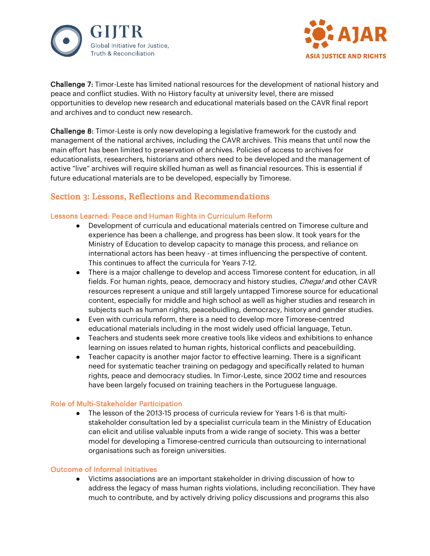



Challenge 7: Timor-Leste has limited national resources for the development of national history and peace and conflict studies. With no History faculty at university level, there are missed opportunities to develop new research and educational materials based on the CAVR final report and archives and to conduct new research.

Challenge 8: Timor-Leste is only now developing a legislative framework for the custody and management of the national archives, including the CAVR archives. This means that until now the main effort has been limited to preservation of archives. Policies of access to archives for educationalists, researchers, historians and others need to be developed and the management of active "live" archives will require skilled human as well as financial resources. This is essential if future educational materials are to be developed, especially by Timorese.

# Section 3: Lessons, Reflections and Recommendations

## Lessons Learned: Peace and Human Rights in Curriculum Reform

- Development of curricula and educational materials centred on Timorese culture and experience has been a challenge, and progress has been slow. It took years for the Ministry of Education to develop capacity to manage this process, and reliance on international actors has been heavy - at times influencing the perspective of content. This continues to affect the curricula for Years 7-12.
- There is a major challenge to develop and access Timorese content for education, in all fields. For human rights, peace, democracy and history studies, Chega! and other CAVR resources represent a unique and still largely untapped Timorese source for educational content, especially for middle and high school as well as higher studies and research in subjects such as human rights, peacebuidling, democracy, history and gender studies.
- Even with curricula reform, there is a need to develop more Timorese-centred educational materials including in the most widely used official language, Tetun.
- Teachers and students seek more creative tools like videos and exhibitions to enhance learning on issues related to human rights, historical conflicts and peacebuilding.
- Teacher capacity is another major factor to effective learning. There is a significant need for systematic teacher training on pedagogy and specifically related to human rights, peace and democracy studies. In Timor-Leste, since 2002 time and resources have been largely focused on training teachers in the Portuguese language.

## Role of Multi-Stakeholder Participation

● The lesson of the 2013-15 process of curricula review for Years 1-6 is that multistakeholder consultation led by a specialist curricula team in the Ministry of Education can elicit and utilise valuable inputs from a wide range of society. This was a better model for developing a Timorese-centred curricula than outsourcing to international organisations such as foreign universities.

## Outcome of Informal Initiatives

● Victims associations are an important stakeholder in driving discussion of how to address the legacy of mass human rights violations, including reconciliation. They have much to contribute, and by actively driving policy discussions and programs this also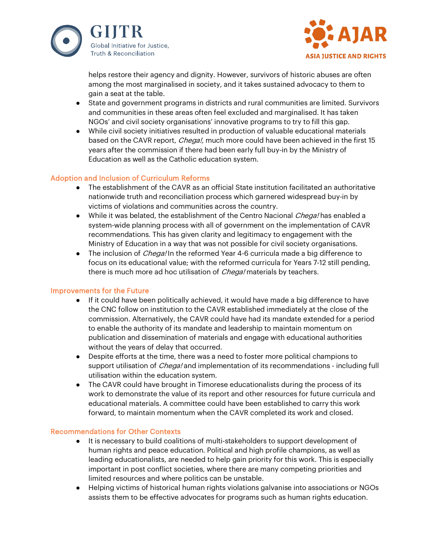



helps restore their agency and dignity. However, survivors of historic abuses are often among the most marginalised in society, and it takes sustained advocacy to them to gain a seat at the table.

- State and government programs in districts and rural communities are limited. Survivors and communities in these areas often feel excluded and marginalised. It has taken NGOs' and civil society organisations' innovative programs to try to fill this gap.
- While civil society initiatives resulted in production of valuable educational materials based on the CAVR report, *Chega!*, much more could have been achieved in the first 15 years after the commission if there had been early full buy-in by the Ministry of Education as well as the Catholic education system.

## Adoption and Inclusion of Curriculum Reforms

- The establishment of the CAVR as an official State institution facilitated an authoritative nationwide truth and reconciliation process which garnered widespread buy-in by victims of violations and communities across the country.
- While it was belated, the establishment of the Centro Nacional Chega! has enabled a system-wide planning process with all of government on the implementation of CAVR recommendations. This has given clarity and legitimacy to engagement with the Ministry of Education in a way that was not possible for civil society organisations.
- The inclusion of *Chega!* In the reformed Year 4-6 curricula made a big difference to focus on its educational value; with the reformed curricula for Years 7-12 still pending, there is much more ad hoc utilisation of *Chega!* materials by teachers.

## Improvements for the Future

- If it could have been politically achieved, it would have made a big difference to have the CNC follow on institution to the CAVR established immediately at the close of the commission. Alternatively, the CAVR could have had its mandate extended for a period to enable the authority of its mandate and leadership to maintain momentum on publication and dissemination of materials and engage with educational authorities without the years of delay that occurred.
- Despite efforts at the time, there was a need to foster more political champions to support utilisation of *Chega!* and implementation of its recommendations - including full utilisation within the education system.
- The CAVR could have brought in Timorese educationalists during the process of its work to demonstrate the value of its report and other resources for future curricula and educational materials. A committee could have been established to carry this work forward, to maintain momentum when the CAVR completed its work and closed.

#### Recommendations for Other Contexts

- It is necessary to build coalitions of multi-stakeholders to support development of human rights and peace education. Political and high profile champions, as well as leading educationalists, are needed to help gain priority for this work. This is especially important in post conflict societies, where there are many competing priorities and limited resources and where politics can be unstable.
- Helping victims of historical human rights violations galvanise into associations or NGOs assists them to be effective advocates for programs such as human rights education.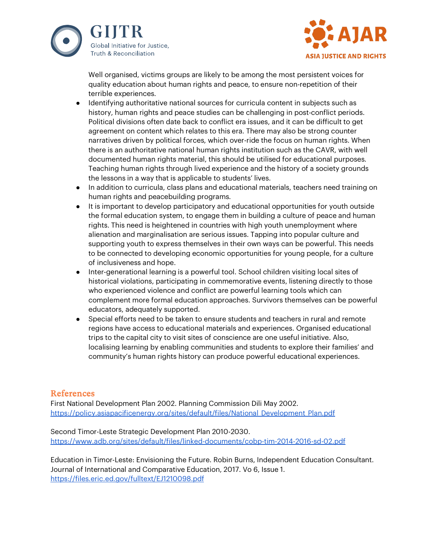



Well organised, victims groups are likely to be among the most persistent voices for quality education about human rights and peace, to ensure non-repetition of their terrible experiences.

- Identifying authoritative national sources for curricula content in subjects such as history, human rights and peace studies can be challenging in post-conflict periods. Political divisions often date back to conflict era issues, and it can be difficult to get agreement on content which relates to this era. There may also be strong counter narratives driven by political forces, which over-ride the focus on human rights. When there is an authoritative national human rights institution such as the CAVR, with well documented human rights material, this should be utilised for educational purposes. Teaching human rights through lived experience and the history of a society grounds the lessons in a way that is applicable to students' lives.
- In addition to curricula, class plans and educational materials, teachers need training on human rights and peacebuilding programs.
- It is important to develop participatory and educational opportunities for youth outside the formal education system, to engage them in building a culture of peace and human rights. This need is heightened in countries with high youth unemployment where alienation and marginalisation are serious issues. Tapping into popular culture and supporting youth to express themselves in their own ways can be powerful. This needs to be connected to developing economic opportunities for young people, for a culture of inclusiveness and hope.
- Inter-generational learning is a powerful tool. School children visiting local sites of historical violations, participating in commemorative events, listening directly to those who experienced violence and conflict are powerful learning tools which can complement more formal education approaches. Survivors themselves can be powerful educators, adequately supported.
- Special efforts need to be taken to ensure students and teachers in rural and remote regions have access to educational materials and experiences. Organised educational trips to the capital city to visit sites of conscience are one useful initiative. Also, localising learning by enabling communities and students to explore their families' and community's human rights history can produce powerful educational experiences.

# References

First National Development Plan 2002. Planning Commission Dili May 2002. [https://policy.asiapacificenergy.org/sites/default/files/National\\_Development\\_Plan.pdf](https://policy.asiapacificenergy.org/sites/default/files/National_Development_Plan.pdf)

Second Timor-Leste Strategic Development Plan 2010-2030. <https://www.adb.org/sites/default/files/linked-documents/cobp-tim-2014-2016-sd-02.pdf>

Education in Timor-Leste: Envisioning the Future. Robin Burns, Independent Education Consultant. Journal of International and Comparative Education, 2017. Vo 6, Issue 1. <https://files.eric.ed.gov/fulltext/EJ1210098.pdf>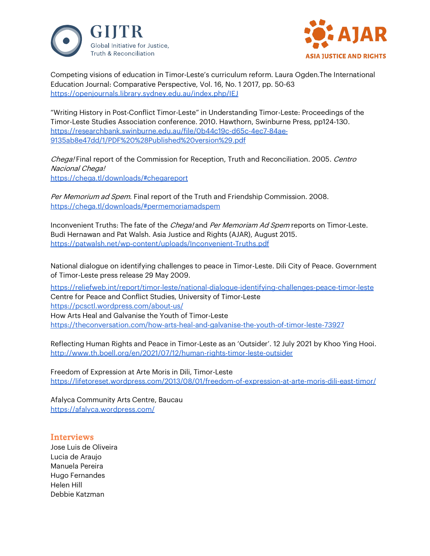



Competing visions of education in Timor-Leste's curriculum reform. Laura Ogden.The International Education Journal: Comparative Perspective, Vol. 16, No. 1 2017, pp. 50-63 <https://openjournals.library.sydney.edu.au/index.php/IEJ>

"Writing History in Post-Conflict Timor-Leste" in Understanding Timor-Leste: Proceedings of the Timor-Leste Studies Association conference. 2010. Hawthorn, Swinburne Press, pp124-130. [https://researchbank.swinburne.edu.au/file/0b44c19c-d65c-4ec7-84ae-](https://researchbank.swinburne.edu.au/file/0b44c19c-d65c-4ec7-84ae-9135ab8e47dd/1/PDF%20%28Published%20version%29.pdf)[9135ab8e47dd/1/PDF%20%28Published%20version%29.pdf](https://researchbank.swinburne.edu.au/file/0b44c19c-d65c-4ec7-84ae-9135ab8e47dd/1/PDF%20%28Published%20version%29.pdf)

Chega! Final report of the Commission for Reception, Truth and Reconciliation. 2005. Centro Nacional Chega! <https://chega.tl/downloads/#chegareport>

Per Memorium ad Spem. Final report of the Truth and Friendship Commission. 2008. <https://chega.tl/downloads/#permemoriamadspem>

Inconvenient Truths: The fate of the *Chega!* and *Per Memoriam Ad Spem* reports on Timor-Leste. Budi Hernawan and Pat Walsh. Asia Justice and Rights (AJAR), August 2015. <https://patwalsh.net/wp-content/uploads/Inconvenient-Truths.pdf>

National dialogue on identifying challenges to peace in Timor-Leste. Dili City of Peace. Government of Timor-Leste press release 29 May 2009.

<https://reliefweb.int/report/timor-leste/national-dialogue-identifying-challenges-peace-timor-leste> Centre for Peace and Conflict Studies, University of Timor-Leste <https://pcsctl.wordpress.com/about-us/> How Arts Heal and Galvanise the Youth of Timor-Leste <https://theconversation.com/how-arts-heal-and-galvanise-the-youth-of-timor-leste-73927>

Reflecting Human Rights and Peace in Timor-Leste as an 'Outsider'. 12 July 2021 by [Khoo Ying Hooi.](http://www.th.boell.org/en/person/khoo-ying-hooi) <http://www.th.boell.org/en/2021/07/12/human-rights-timor-leste-outsider>

Freedom of Expression at Arte Moris in Dili, Timor-Leste <https://lifetoreset.wordpress.com/2013/08/01/freedom-of-expression-at-arte-moris-dili-east-timor/>

Afalyca Community Arts Centre, Baucau <https://afalyca.wordpress.com/>

## **Interviews**

Jose Luis de Oliveira Lucia de Araujo Manuela Pereira Hugo Fernandes Helen Hill Debbie Katzman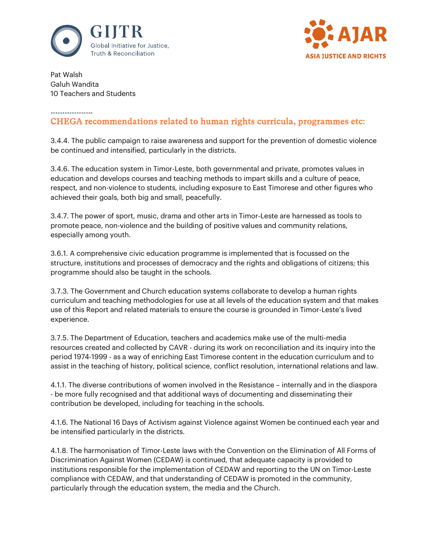



Pat Walsh Galuh Wandita 10 Teachers and Students

#### ------------------

# CHEGA recommendations related to human rights curricula, programmes etc:

3.4.4. The public campaign to raise awareness and support for the prevention of domestic violence be continued and intensified, particularly in the districts.

3.4.6. The education system in Timor-Leste, both governmental and private, promotes values in education and develops courses and teaching methods to impart skills and a culture of peace, respect, and non-violence to students, including exposure to East Timorese and other figures who achieved their goals, both big and small, peacefully.

3.4.7. The power of sport, music, drama and other arts in Timor-Leste are harnessed as tools to promote peace, non-violence and the building of positive values and community relations, especially among youth.

3.6.1. A comprehensive civic education programme is implemented that is focussed on the structure, institutions and processes of democracy and the rights and obligations of citizens; this programme should also be taught in the schools.

3.7.3. The Government and Church education systems collaborate to develop a human rights curriculum and teaching methodologies for use at all levels of the education system and that makes use of this Report and related materials to ensure the course is grounded in Timor-Leste's lived experience.

3.7.5. The Department of Education, teachers and academics make use of the multi-media resources created and collected by CAVR - during its work on reconciliation and its inquiry into the period 1974-1999 - as a way of enriching East Timorese content in the education curriculum and to assist in the teaching of history, political science, conflict resolution, international relations and law.

4.1.1. The diverse contributions of women involved in the Resistance – internally and in the diaspora - be more fully recognised and that additional ways of documenting and disseminating their contribution be developed, including for teaching in the schools.

4.1.6. The National 16 Days of Activism against Violence against Women be continued each year and be intensified particularly in the districts.

4.1.8. The harmonisation of Timor-Leste laws with the Convention on the Elimination of All Forms of Discrimination Against Women (CEDAW) is continued, that adequate capacity is provided to institutions responsible for the implementation of CEDAW and reporting to the UN on Timor-Leste compliance with CEDAW, and that understanding of CEDAW is promoted in the community, particularly through the education system, the media and the Church.